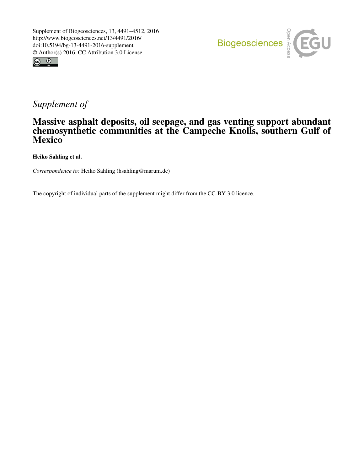



## *Supplement of*

## Massive asphalt deposits, oil seepage, and gas venting support abundant chemosynthetic communities at the Campeche Knolls, southern Gulf of **Mexico**

Heiko Sahling et al.

*Correspondence to:* Heiko Sahling (hsahling@marum.de)

The copyright of individual parts of the supplement might differ from the CC-BY 3.0 licence.